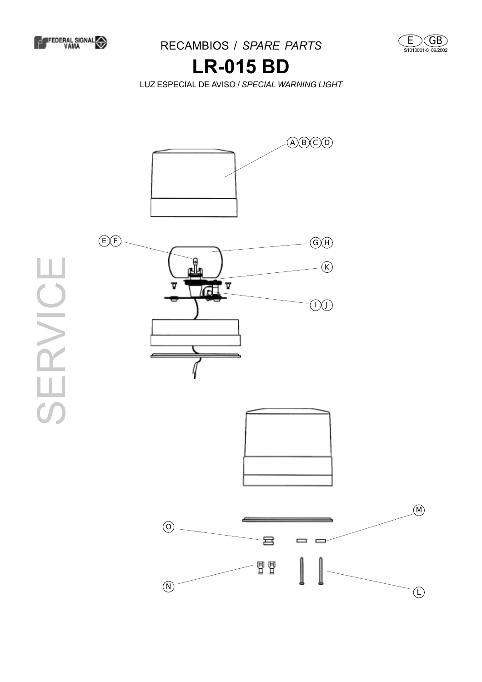





## **LR-015 BD**

LUZ ESPECIAL DE AVISO / *SPECIAL WARNING LIGHT*